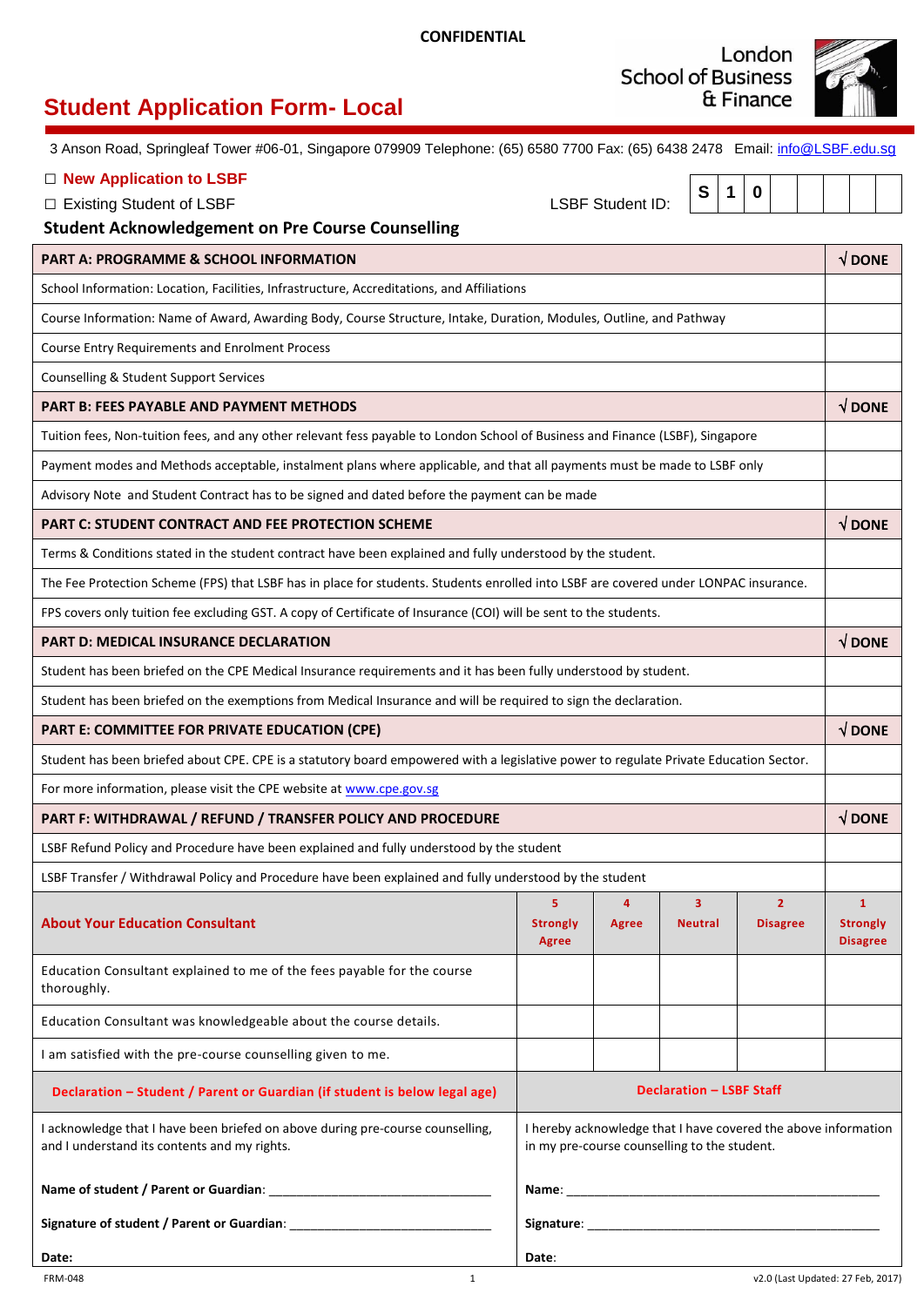London **School of Business** & Finance



# **Student Application Form- Local**

3 Anson Road, Springleaf Tower #06-01, Singapore 079909 Telephone: (65) 6580 7700 Fax: (65) 6438 2478 Email: [info@LSBF.edu.](mailto:info@LSBF.edu.sg)sg

## □ **New Application to LSBF**

□ Existing Student of LSBF 
<br>
LSBF Student ID:

 $\mathsf{r}$ 

**S 1 0**

## **Student Acknowledgement on Pre Course Counselling**

| <b>PART A: PROGRAMME &amp; SCHOOL INFORMATION</b>                                                                                     |                                                                                                                |            | $\sqrt{}$ DONE                   |                                   |                                                    |
|---------------------------------------------------------------------------------------------------------------------------------------|----------------------------------------------------------------------------------------------------------------|------------|----------------------------------|-----------------------------------|----------------------------------------------------|
| School Information: Location, Facilities, Infrastructure, Accreditations, and Affiliations                                            |                                                                                                                |            |                                  |                                   |                                                    |
| Course Information: Name of Award, Awarding Body, Course Structure, Intake, Duration, Modules, Outline, and Pathway                   |                                                                                                                |            |                                  |                                   |                                                    |
| <b>Course Entry Requirements and Enrolment Process</b>                                                                                |                                                                                                                |            |                                  |                                   |                                                    |
| Counselling & Student Support Services                                                                                                |                                                                                                                |            |                                  |                                   |                                                    |
| <b>PART B: FEES PAYABLE AND PAYMENT METHODS</b>                                                                                       |                                                                                                                |            |                                  |                                   | $\sqrt{}$ DONE                                     |
| Tuition fees, Non-tuition fees, and any other relevant fess payable to London School of Business and Finance (LSBF), Singapore        |                                                                                                                |            |                                  |                                   |                                                    |
| Payment modes and Methods acceptable, instalment plans where applicable, and that all payments must be made to LSBF only              |                                                                                                                |            |                                  |                                   |                                                    |
| Advisory Note and Student Contract has to be signed and dated before the payment can be made                                          |                                                                                                                |            |                                  |                                   |                                                    |
| <b>PART C: STUDENT CONTRACT AND FEE PROTECTION SCHEME</b>                                                                             |                                                                                                                |            |                                  |                                   | $\sqrt{}$ DONE                                     |
| Terms & Conditions stated in the student contract have been explained and fully understood by the student.                            |                                                                                                                |            |                                  |                                   |                                                    |
| The Fee Protection Scheme (FPS) that LSBF has in place for students. Students enrolled into LSBF are covered under LONPAC insurance.  |                                                                                                                |            |                                  |                                   |                                                    |
| FPS covers only tuition fee excluding GST. A copy of Certificate of Insurance (COI) will be sent to the students.                     |                                                                                                                |            |                                  |                                   |                                                    |
| <b>PART D: MEDICAL INSURANCE DECLARATION</b>                                                                                          |                                                                                                                |            | $\sqrt{$ DONE                    |                                   |                                                    |
| Student has been briefed on the CPE Medical Insurance requirements and it has been fully understood by student.                       |                                                                                                                |            |                                  |                                   |                                                    |
| Student has been briefed on the exemptions from Medical Insurance and will be required to sign the declaration.                       |                                                                                                                |            |                                  |                                   |                                                    |
| PART E: COMMITTEE FOR PRIVATE EDUCATION (CPE)                                                                                         |                                                                                                                |            |                                  |                                   | $\sqrt{}$ DONE                                     |
| Student has been briefed about CPE. CPE is a statutory board empowered with a legislative power to regulate Private Education Sector. |                                                                                                                |            |                                  |                                   |                                                    |
| For more information, please visit the CPE website at www.cpe.gov.sg                                                                  |                                                                                                                |            |                                  |                                   |                                                    |
| PART F: WITHDRAWAL / REFUND / TRANSFER POLICY AND PROCEDURE                                                                           |                                                                                                                |            |                                  | $\sqrt{}$ DONE                    |                                                    |
| LSBF Refund Policy and Procedure have been explained and fully understood by the student                                              |                                                                                                                |            |                                  |                                   |                                                    |
| LSBF Transfer / Withdrawal Policy and Procedure have been explained and fully understood by the student                               |                                                                                                                |            |                                  |                                   |                                                    |
| <b>About Your Education Consultant</b>                                                                                                | 5<br><b>Strongly</b><br><b>Agree</b>                                                                           | 4<br>Agree | $\overline{3}$<br><b>Neutral</b> | $\overline{2}$<br><b>Disagree</b> | $\mathbf{1}$<br><b>Strongly</b><br><b>Disagree</b> |
| Education Consultant explained to me of the fees payable for the course<br>thoroughly.                                                |                                                                                                                |            |                                  |                                   |                                                    |
| Education Consultant was knowledgeable about the course details.                                                                      |                                                                                                                |            |                                  |                                   |                                                    |
| I am satisfied with the pre-course counselling given to me.                                                                           |                                                                                                                |            |                                  |                                   |                                                    |
| Declaration - Student / Parent or Guardian (if student is below legal age)                                                            | <b>Declaration - LSBF Staff</b>                                                                                |            |                                  |                                   |                                                    |
| I acknowledge that I have been briefed on above during pre-course counselling,<br>and I understand its contents and my rights.        | I hereby acknowledge that I have covered the above information<br>in my pre-course counselling to the student. |            |                                  |                                   |                                                    |
|                                                                                                                                       |                                                                                                                |            |                                  |                                   |                                                    |
|                                                                                                                                       |                                                                                                                |            |                                  |                                   |                                                    |

**Date**: